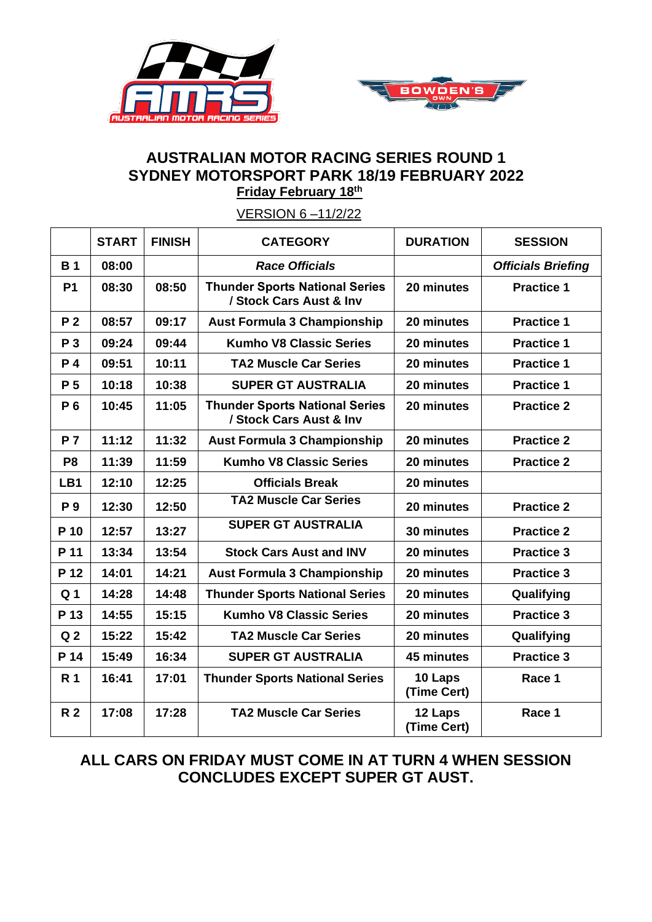



## **AUSTRALIAN MOTOR RACING SERIES ROUND 1 SYDNEY MOTORSPORT PARK 18/19 FEBRUARY 2022 Friday February 18th**

|                | <b>START</b> | <b>FINISH</b> | <b>CATEGORY</b>                                                  | <b>DURATION</b>        | <b>SESSION</b>            |
|----------------|--------------|---------------|------------------------------------------------------------------|------------------------|---------------------------|
| <b>B1</b>      | 08:00        |               | <b>Race Officials</b>                                            |                        | <b>Officials Briefing</b> |
| <b>P1</b>      | 08:30        | 08:50         | <b>Thunder Sports National Series</b><br>/ Stock Cars Aust & Inv | 20 minutes             | <b>Practice 1</b>         |
| P <sub>2</sub> | 08:57        | 09:17         | <b>Aust Formula 3 Championship</b>                               | 20 minutes             | <b>Practice 1</b>         |
| P 3            | 09:24        | 09:44         | <b>Kumho V8 Classic Series</b>                                   | 20 minutes             | <b>Practice 1</b>         |
| P 4            | 09:51        | 10:11         | <b>TA2 Muscle Car Series</b>                                     | 20 minutes             | <b>Practice 1</b>         |
| P <sub>5</sub> | 10:18        | 10:38         | <b>SUPER GT AUSTRALIA</b>                                        | 20 minutes             | <b>Practice 1</b>         |
| P 6            | 10:45        | 11:05         | <b>Thunder Sports National Series</b><br>/ Stock Cars Aust & Inv | 20 minutes             | <b>Practice 2</b>         |
| <b>P7</b>      | 11:12        | 11:32         | <b>Aust Formula 3 Championship</b>                               | 20 minutes             | <b>Practice 2</b>         |
| P <sub>8</sub> | 11:39        | 11:59         | <b>Kumho V8 Classic Series</b>                                   | 20 minutes             | <b>Practice 2</b>         |
| LB1            | 12:10        | 12:25         | <b>Officials Break</b>                                           | 20 minutes             |                           |
| P 9            | 12:30        | 12:50         | <b>TA2 Muscle Car Series</b>                                     | 20 minutes             | <b>Practice 2</b>         |
| P 10           | 12:57        | 13:27         | <b>SUPER GT AUSTRALIA</b>                                        | 30 minutes             | <b>Practice 2</b>         |
| P 11           | 13:34        | 13:54         | <b>Stock Cars Aust and INV</b>                                   | 20 minutes             | <b>Practice 3</b>         |
| P 12           | 14:01        | 14:21         | <b>Aust Formula 3 Championship</b>                               | 20 minutes             | <b>Practice 3</b>         |
| Q <sub>1</sub> | 14:28        | 14:48         | <b>Thunder Sports National Series</b>                            | 20 minutes             | Qualifying                |
| P 13           | 14:55        | 15:15         | <b>Kumho V8 Classic Series</b>                                   | 20 minutes             | <b>Practice 3</b>         |
| Q <sub>2</sub> | 15:22        | 15:42         | <b>TA2 Muscle Car Series</b>                                     | 20 minutes             | Qualifying                |
| P 14           | 15:49        | 16:34         | <b>SUPER GT AUSTRALIA</b>                                        | 45 minutes             | <b>Practice 3</b>         |
| R <sub>1</sub> | 16:41        | 17:01         | <b>Thunder Sports National Series</b>                            | 10 Laps<br>(Time Cert) | Race 1                    |
| <b>R2</b>      | 17:08        | 17:28         | <b>TA2 Muscle Car Series</b>                                     | 12 Laps<br>(Time Cert) | Race 1                    |

VERSION 6 –11/2/22

## **ALL CARS ON FRIDAY MUST COME IN AT TURN 4 WHEN SESSION CONCLUDES EXCEPT SUPER GT AUST.**